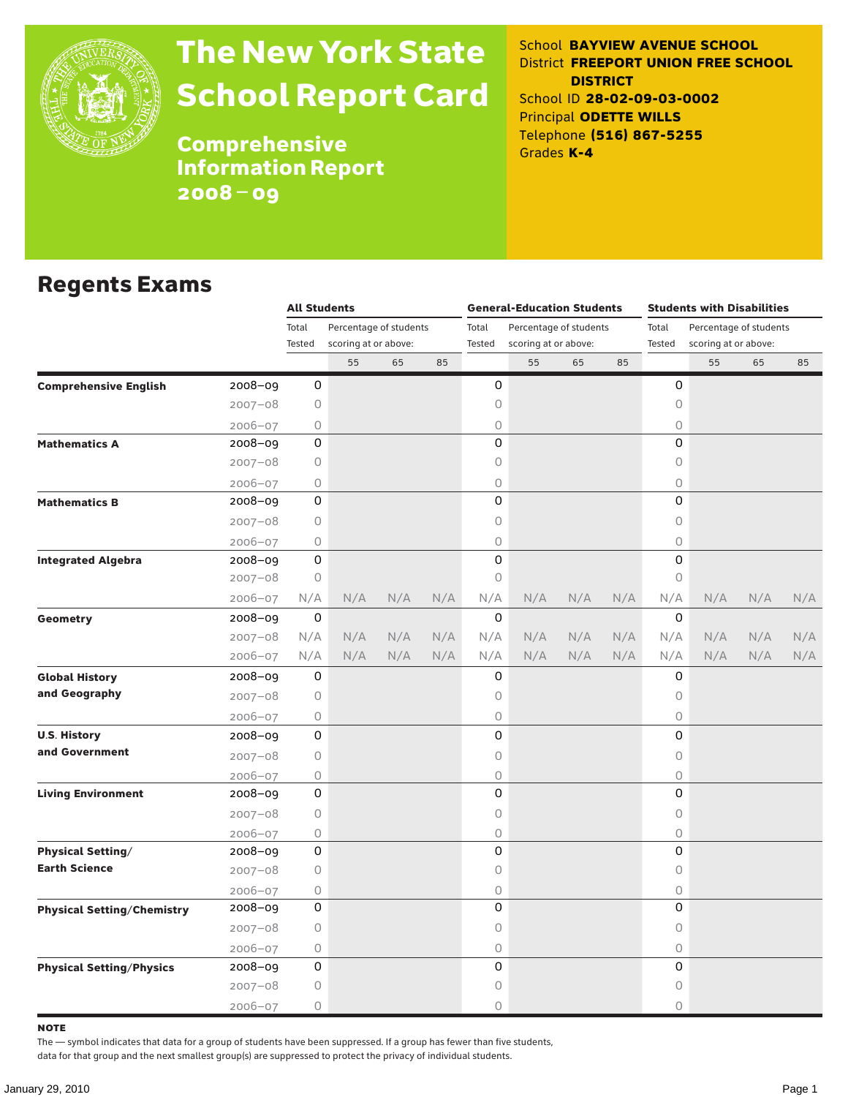

# The New York State School Report Card

School **BAYVIEW AVENUE SCHOOL** District **FREEPORT UNION FREE SCHOOL DISTRICT** School ID **28-02-09-03-0002** Principal **ODETTE WILLS** Telephone **(516) 867-5255** Grades **K-4**

**Comprehensive** Information Report 2008–09

## Regents Exams

|                                   |             | <b>All Students</b>            |                        |     |     |             | <b>General-Education Students</b> |     |     | <b>Students with Disabilities</b> |                      |     |     |  |
|-----------------------------------|-------------|--------------------------------|------------------------|-----|-----|-------------|-----------------------------------|-----|-----|-----------------------------------|----------------------|-----|-----|--|
|                                   |             | Total                          | Percentage of students |     |     | Total       | Percentage of students            |     |     | Total<br>Percentage of students   |                      |     |     |  |
|                                   |             | Tested<br>scoring at or above: |                        |     |     | Tested      | scoring at or above:              |     |     | Tested                            | scoring at or above: |     |     |  |
|                                   |             |                                | 55                     | 65  | 85  |             | 55                                | 65  | 85  |                                   | 55                   | 65  | 85  |  |
| <b>Comprehensive English</b>      | 2008-09     | 0                              |                        |     |     | 0           |                                   |     |     | 0                                 |                      |     |     |  |
|                                   | $2007 - 08$ | 0                              |                        |     |     | 0           |                                   |     |     | 0                                 |                      |     |     |  |
|                                   | $2006 - 07$ | 0                              |                        |     |     | 0           |                                   |     |     | 0                                 |                      |     |     |  |
| <b>Mathematics A</b>              | 2008-09     | 0                              |                        |     |     | 0           |                                   |     |     | $\Omega$                          |                      |     |     |  |
|                                   | $2007 - 08$ | 0                              |                        |     |     | 0           |                                   |     |     | 0                                 |                      |     |     |  |
|                                   | $2006 - 07$ | 0                              |                        |     |     | 0           |                                   |     |     | 0                                 |                      |     |     |  |
| <b>Mathematics B</b>              | 2008-09     | 0                              |                        |     |     | 0           |                                   |     |     | 0                                 |                      |     |     |  |
|                                   | $2007 - 08$ | 0                              |                        |     |     | 0           |                                   |     |     | 0                                 |                      |     |     |  |
|                                   | $2006 - 07$ | 0                              |                        |     |     | 0           |                                   |     |     | $\bigcirc$                        |                      |     |     |  |
| <b>Integrated Algebra</b>         | 2008-09     | 0                              |                        |     |     | 0           |                                   |     |     | 0                                 |                      |     |     |  |
|                                   | $2007 - 08$ | 0                              |                        |     |     | 0           |                                   |     |     | 0                                 |                      |     |     |  |
|                                   | 2006-07     | N/A                            | N/A                    | N/A | N/A | N/A         | N/A                               | N/A | N/A | N/A                               | N/A                  | N/A | N/A |  |
| Geometry                          | 2008-09     | 0                              |                        |     |     | $\mathbf 0$ |                                   |     |     | 0                                 |                      |     |     |  |
|                                   | $2007 - 08$ | N/A                            | N/A                    | N/A | N/A | N/A         | N/A                               | N/A | N/A | N/A                               | N/A                  | N/A | N/A |  |
|                                   | 2006-07     | N/A                            | N/A                    | N/A | N/A | N/A         | N/A                               | N/A | N/A | N/A                               | N/A                  | N/A | N/A |  |
| <b>Global History</b>             | $2008 - 09$ | 0                              |                        |     |     | 0           |                                   |     |     | 0                                 |                      |     |     |  |
| and Geography                     | $2007 - 08$ | 0                              |                        |     |     | 0           |                                   |     |     | $\mathsf O$                       |                      |     |     |  |
|                                   | $2006 - 07$ | 0                              |                        |     |     | 0           |                                   |     |     | 0                                 |                      |     |     |  |
| <b>U.S. History</b>               | 2008-09     | 0                              |                        |     |     | 0           |                                   |     |     | 0                                 |                      |     |     |  |
| and Government                    | $2007 - 08$ | 0                              |                        |     |     | 0           |                                   |     |     | 0                                 |                      |     |     |  |
|                                   | $2006 - 07$ | 0                              |                        |     |     | 0           |                                   |     |     | $\bigcirc$                        |                      |     |     |  |
| <b>Living Environment</b>         | 2008-09     | 0                              |                        |     |     | 0           |                                   |     |     | 0                                 |                      |     |     |  |
|                                   | $2007 - 08$ | 0                              |                        |     |     | 0           |                                   |     |     | 0                                 |                      |     |     |  |
|                                   | $2006 - 07$ | 0                              |                        |     |     | 0           |                                   |     |     | 0                                 |                      |     |     |  |
| <b>Physical Setting/</b>          | 2008-09     | 0                              |                        |     |     | 0           |                                   |     |     | 0                                 |                      |     |     |  |
| <b>Earth Science</b>              | $2007 - 08$ | 0                              |                        |     |     | 0           |                                   |     |     | 0                                 |                      |     |     |  |
|                                   | $2006 - 07$ | 0                              |                        |     |     | 0           |                                   |     |     | 0                                 |                      |     |     |  |
| <b>Physical Setting/Chemistry</b> | 2008-09     | 0                              |                        |     |     | 0           |                                   |     |     | 0                                 |                      |     |     |  |
|                                   | $2007 - 08$ | 0                              |                        |     |     | 0           |                                   |     |     | $\mathsf O$                       |                      |     |     |  |
|                                   | $2006 - 07$ | 0                              |                        |     |     | 0           |                                   |     |     | $\bigcirc$                        |                      |     |     |  |
| <b>Physical Setting/Physics</b>   | 2008-09     | 0                              |                        |     |     | 0           |                                   |     |     | 0                                 |                      |     |     |  |
|                                   | $2007 - 08$ | 0                              |                        |     |     | 0           |                                   |     |     | $\mathsf O$                       |                      |     |     |  |
|                                   | $2006 - 07$ | 0                              |                        |     |     | 0           |                                   |     |     | $\circ$                           |                      |     |     |  |

note

The — symbol indicates that data for a group of students have been suppressed. If a group has fewer than five students,

data for that group and the next smallest group(s) are suppressed to protect the privacy of individual students.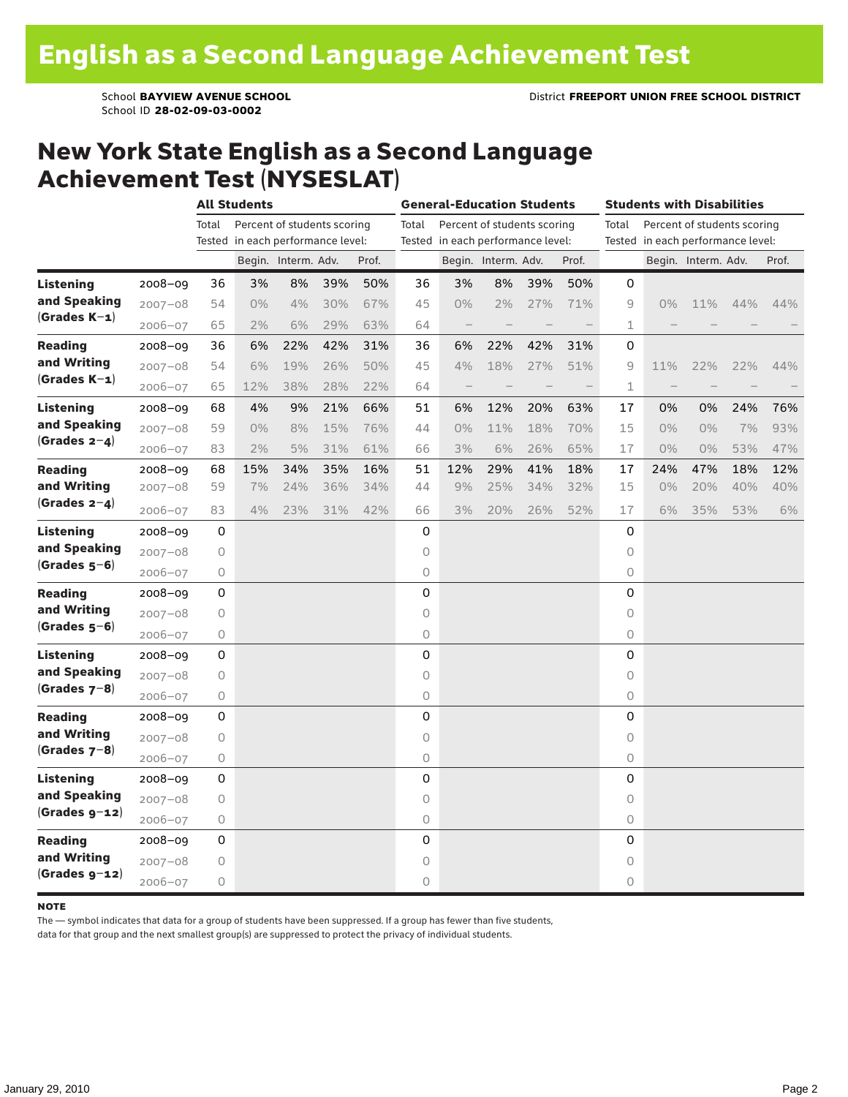School **BAYVIEW AVENUE SCHOOL** District **FREEPORT UNION FREE SCHOOL DISTRICT** School ID **28-02-09-03-0002**

|                                                    |             |       | <b>All Students</b>               |                     |     |       |                                   | <b>General-Education Students</b> |                             |     |       | <b>Students with Disabilities</b>    |                                   |                     |     |       |  |
|----------------------------------------------------|-------------|-------|-----------------------------------|---------------------|-----|-------|-----------------------------------|-----------------------------------|-----------------------------|-----|-------|--------------------------------------|-----------------------------------|---------------------|-----|-------|--|
|                                                    |             | Total | Percent of students scoring       |                     |     |       |                                   |                                   | Percent of students scoring |     |       | Percent of students scoring<br>Total |                                   |                     |     |       |  |
|                                                    |             |       | Tested in each performance level: |                     |     |       | Tested in each performance level: |                                   |                             |     |       |                                      | Tested in each performance level: |                     |     |       |  |
|                                                    |             |       |                                   | Begin. Interm. Adv. |     | Prof. |                                   |                                   | Begin. Interm. Adv.         |     | Prof. |                                      |                                   | Begin. Interm. Adv. |     | Prof. |  |
| <b>Listening</b>                                   | 2008-09     | 36    | 3%                                | 8%                  | 39% | 50%   | 36                                | 3%                                | 8%                          | 39% | 50%   | 0                                    |                                   |                     |     |       |  |
| and Speaking<br>$(Grades K-1)$                     | $2007 - 08$ | 54    | $0\%$                             | 4%                  | 30% | 67%   | 45                                | $0\%$                             | 2%                          | 27% | 71%   | 9                                    | $0\%$                             | 11%                 | 44% | 44%   |  |
|                                                    | $2006 - 07$ | 65    | 2%                                | 6%                  | 29% | 63%   | 64                                | $\overline{\phantom{0}}$          |                             |     |       | 1                                    |                                   |                     |     |       |  |
| <b>Reading</b><br>and Writing<br>$(Grades K-1)$    | 2008-09     | 36    | 6%                                | 22%                 | 42% | 31%   | 36                                | 6%                                | 22%                         | 42% | 31%   | 0                                    |                                   |                     |     |       |  |
|                                                    | $2007 - 08$ | 54    | 6%                                | 19%                 | 26% | 50%   | 45                                | 4%                                | 18%                         | 27% | 51%   | 9                                    | 11%                               | 22%                 | 22% | 44%   |  |
|                                                    | $2006 - 07$ | 65    | 12%                               | 38%                 | 28% | 22%   | 64                                |                                   |                             |     |       | 1                                    |                                   |                     |     |       |  |
| Listening                                          | 2008-09     | 68    | 4%                                | 9%                  | 21% | 66%   | 51                                | 6%                                | 12%                         | 20% | 63%   | 17                                   | 0%                                | 0%                  | 24% | 76%   |  |
| and Speaking<br>$(Grades 2-4)$                     | $2007 - 08$ | 59    | $0\%$                             | 8%                  | 15% | 76%   | 44                                | $0\%$                             | 11%                         | 18% | 70%   | 15                                   | $0\%$                             | 0%                  | 7%  | 93%   |  |
|                                                    | $2006 - 07$ | 83    | 2%                                | 5%                  | 31% | 61%   | 66                                | 3%                                | 6%                          | 26% | 65%   | 17                                   | $0\%$                             | $0\%$               | 53% | 47%   |  |
| <b>Reading</b><br>and Writing<br>$(Grades 2-4)$    | 2008-09     | 68    | 15%                               | 34%                 | 35% | 16%   | 51                                | 12%                               | 29%                         | 41% | 18%   | 17                                   | 24%                               | 47%                 | 18% | 12%   |  |
|                                                    | $2007 - 08$ | 59    | 7%                                | 24%                 | 36% | 34%   | 44                                | 9%                                | 25%                         | 34% | 32%   | 15                                   | $0\%$                             | 20%                 | 40% | 40%   |  |
|                                                    | $2006 - 07$ | 83    | 4%                                | 23%                 | 31% | 42%   | 66                                | 3%                                | 20%                         | 26% | 52%   | 17                                   | 6%                                | 35%                 | 53% | 6%    |  |
| Listening<br>and Speaking<br>$(Grades 5-6)$        | $2008 - 09$ | 0     |                                   |                     |     |       | 0                                 |                                   |                             |     |       | 0                                    |                                   |                     |     |       |  |
|                                                    | $2007 - 08$ | 0     |                                   |                     |     |       | $\circ$                           |                                   |                             |     |       | 0                                    |                                   |                     |     |       |  |
|                                                    | $2006 - 07$ | 0     |                                   |                     |     |       | 0                                 |                                   |                             |     |       | 0                                    |                                   |                     |     |       |  |
| <b>Reading</b><br>and Writing                      | 2008-09     | 0     |                                   |                     |     |       | $\mathbf 0$                       |                                   |                             |     |       | 0                                    |                                   |                     |     |       |  |
|                                                    | $2007 - 08$ | 0     |                                   |                     |     |       | $\circ$                           |                                   |                             |     |       | 0                                    |                                   |                     |     |       |  |
| $(Grades 5-6)$                                     | $2006 - 07$ | 0     |                                   |                     |     |       | $\mathsf O$                       |                                   |                             |     |       | 0                                    |                                   |                     |     |       |  |
| <b>Listening</b><br>and Speaking<br>$(Grades 7-8)$ | $2008 - 09$ | 0     |                                   |                     |     |       | 0                                 |                                   |                             |     |       | 0                                    |                                   |                     |     |       |  |
|                                                    | $2007 - 08$ | 0     |                                   |                     |     |       | $\circ$                           |                                   |                             |     |       | 0                                    |                                   |                     |     |       |  |
|                                                    | $2006 - 07$ | 0     |                                   |                     |     |       | $\circ$                           |                                   |                             |     |       | 0                                    |                                   |                     |     |       |  |
| <b>Reading</b><br>and Writing<br>$(Grades 7-8)$    | $2008 - 09$ | 0     |                                   |                     |     |       | 0                                 |                                   |                             |     |       | 0                                    |                                   |                     |     |       |  |
|                                                    | $2007 - 08$ | 0     |                                   |                     |     |       | $\circ$                           |                                   |                             |     |       | 0                                    |                                   |                     |     |       |  |
|                                                    | $2006 - 07$ | 0     |                                   |                     |     |       | 0                                 |                                   |                             |     |       | 0                                    |                                   |                     |     |       |  |
| Listening<br>and Speaking<br>$(Grades g-12)$       | $2008 - 09$ | 0     |                                   |                     |     |       | $\mathbf 0$                       |                                   |                             |     |       | 0                                    |                                   |                     |     |       |  |
|                                                    | $2007 - 08$ | 0     |                                   |                     |     |       | $\circ$                           |                                   |                             |     |       | 0                                    |                                   |                     |     |       |  |
|                                                    | 2006-07     | 0     |                                   |                     |     |       | 0                                 |                                   |                             |     |       | 0                                    |                                   |                     |     |       |  |
| <b>Reading</b><br>and Writing<br>$(Grades g-12)$   | $2008 - 09$ | 0     |                                   |                     |     |       | 0                                 |                                   |                             |     |       | 0                                    |                                   |                     |     |       |  |
|                                                    | $2007 - 08$ | 0     |                                   |                     |     |       | $\circ$                           |                                   |                             |     |       | 0                                    |                                   |                     |     |       |  |
|                                                    | $2006 - 07$ | 0     |                                   |                     |     |       | $\Omega$                          |                                   |                             |     |       | 0                                    |                                   |                     |     |       |  |

#### **NOTE**

The — symbol indicates that data for a group of students have been suppressed. If a group has fewer than five students,

data for that group and the next smallest group(s) are suppressed to protect the privacy of individual students.